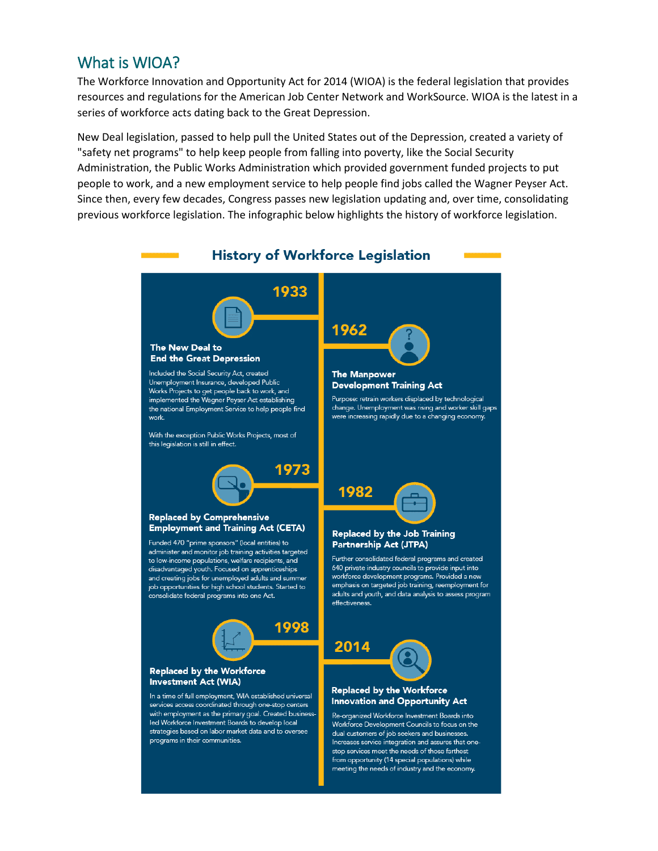### What is WIOA?

The Workforce Innovation and Opportunity Act for 2014 (WIOA) is the federal legislation that provides resources and regulations for the American Job Center Network and WorkSource. WIOA is the latest in a series of workforce acts dating back to the Great Depression.

New Deal legislation, passed to help pull the United States out of the Depression, created a variety of "safety net programs" to help keep people from falling into poverty, like the Social Security Administration, the Public Works Administration which provided government funded projects to put people to work, and a new employment service to help people find jobs called the Wagner Peyser Act. Since then, every few decades, Congress passes new legislation updating and, over time, consolidating previous workforce legislation. The infographic below highlights the history of workforce legislation.

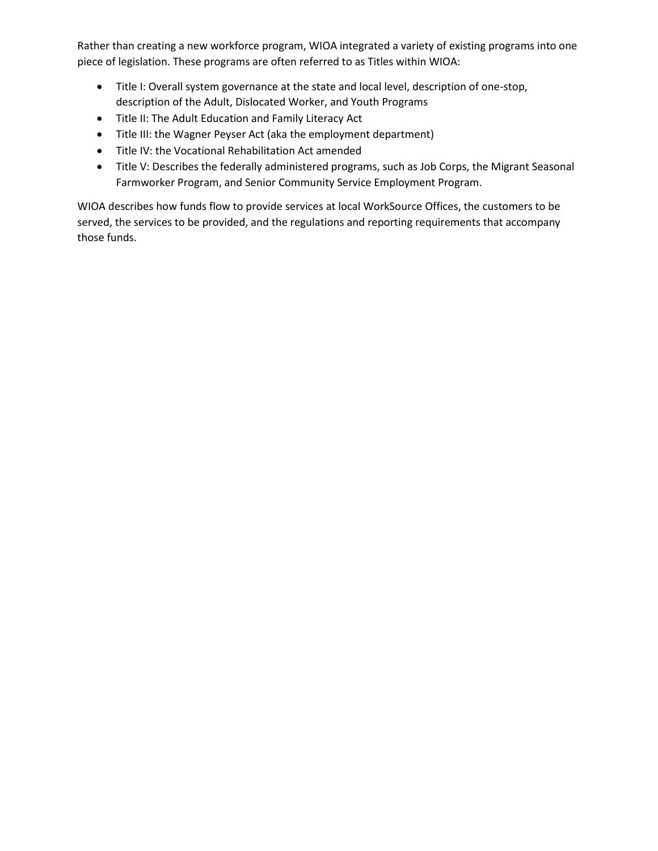Rather than creating a new workforce program, WIOA integrated a variety of existing programs into one piece of legislation. These programs are often referred to as Titles within WIOA:

- Title I: Overall system governance at the state and local level, description of one-stop, description of the Adult, Dislocated Worker, and Youth Programs
- Title II: The Adult Education and Family Literacy Act
- Title III: the Wagner Peyser Act (aka the employment department)
- Title IV: the Vocational Rehabilitation Act amended
- Title V: Describes the federally administered programs, such as Job Corps, the Migrant Seasonal Farmworker Program, and Senior Community Service Employment Program.

WIOA describes how funds flow to provide services at local WorkSource Offices, the customers to be served, the services to be provided, and the regulations and reporting requirements that accompany those funds.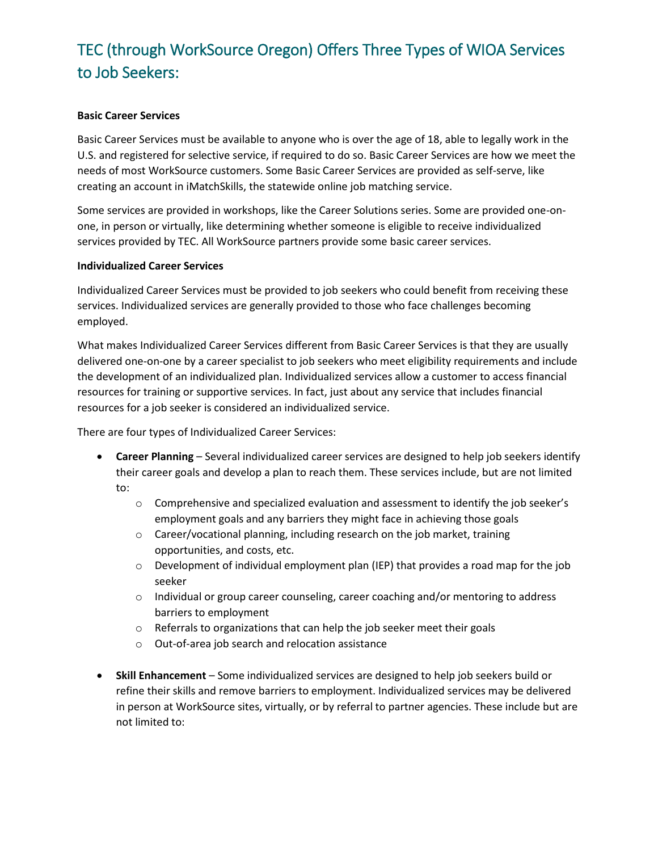## TEC (through WorkSource Oregon) Offers Three Types of WIOA Services to Job Seekers:

#### **Basic Career Services**

Basic Career Services must be available to anyone who is over the age of 18, able to legally work in the U.S. and registered for selective service, if required to do so. Basic Career Services are how we meet the needs of most WorkSource customers. Some Basic Career Services are provided as self-serve, like creating an account in iMatchSkills, the statewide online job matching service.

Some services are provided in workshops, like the Career Solutions series. Some are provided one-onone, in person or virtually, like determining whether someone is eligible to receive individualized services provided by TEC. All WorkSource partners provide some basic career services.

#### **Individualized Career Services**

Individualized Career Services must be provided to job seekers who could benefit from receiving these services. Individualized services are generally provided to those who face challenges becoming employed.

What makes Individualized Career Services different from Basic Career Services is that they are usually delivered one-on-one by a career specialist to job seekers who meet eligibility requirements and include the development of an individualized plan. Individualized services allow a customer to access financial resources for training or supportive services. In fact, just about any service that includes financial resources for a job seeker is considered an individualized service.

There are four types of Individualized Career Services:

- **Career Planning** Several individualized career services are designed to help job seekers identify their career goals and develop a plan to reach them. These services include, but are not limited to:
	- o Comprehensive and specialized evaluation and assessment to identify the job seeker's employment goals and any barriers they might face in achieving those goals
	- o Career/vocational planning, including research on the job market, training opportunities, and costs, etc.
	- $\circ$  Development of individual employment plan (IEP) that provides a road map for the job seeker
	- o Individual or group career counseling, career coaching and/or mentoring to address barriers to employment
	- o Referrals to organizations that can help the job seeker meet their goals
	- o Out-of-area job search and relocation assistance
- **Skill Enhancement** Some individualized services are designed to help job seekers build or refine their skills and remove barriers to employment. Individualized services may be delivered in person at WorkSource sites, virtually, or by referral to partner agencies. These include but are not limited to: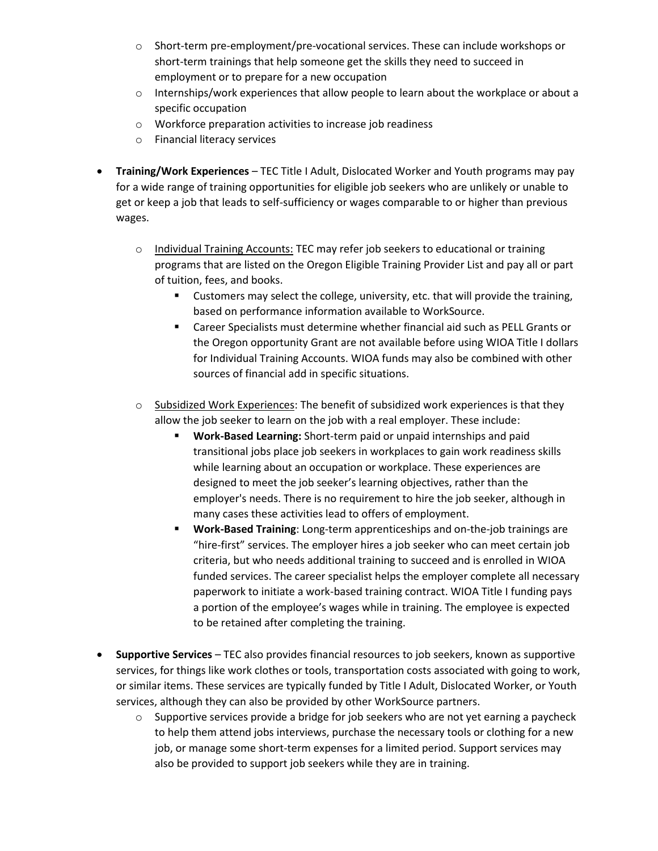- o Short-term pre-employment/pre-vocational services. These can include workshops or short-term trainings that help someone get the skills they need to succeed in employment or to prepare for a new occupation
- $\circ$  Internships/work experiences that allow people to learn about the workplace or about a specific occupation
- o Workforce preparation activities to increase job readiness
- o Financial literacy services
- **Training/Work Experiences** TEC Title I Adult, Dislocated Worker and Youth programs may pay for a wide range of training opportunities for eligible job seekers who are unlikely or unable to get or keep a job that leads to self-sufficiency or wages comparable to or higher than previous wages.
	- $\circ$  Individual Training Accounts: TEC may refer job seekers to educational or training programs that are listed on the Oregon Eligible Training Provider List and pay all or part of tuition, fees, and books.
		- Customers may select the college, university, etc. that will provide the training, based on performance information available to WorkSource.
		- Career Specialists must determine whether financial aid such as PELL Grants or the Oregon opportunity Grant are not available before using WIOA Title I dollars for Individual Training Accounts. WIOA funds may also be combined with other sources of financial add in specific situations.
	- $\circ$  Subsidized Work Experiences: The benefit of subsidized work experiences is that they allow the job seeker to learn on the job with a real employer. These include:
		- **Work-Based Learning:** Short-term paid or unpaid internships and paid transitional jobs place job seekers in workplaces to gain work readiness skills while learning about an occupation or workplace. These experiences are designed to meet the job seeker's learning objectives, rather than the employer's needs. There is no requirement to hire the job seeker, although in many cases these activities lead to offers of employment.
		- **Work-Based Training**: Long-term apprenticeships and on-the-job trainings are "hire-first" services. The employer hires a job seeker who can meet certain job criteria, but who needs additional training to succeed and is enrolled in WIOA funded services. The career specialist helps the employer complete all necessary paperwork to initiate a work-based training contract. WIOA Title I funding pays a portion of the employee's wages while in training. The employee is expected to be retained after completing the training.
- **Supportive Services** TEC also provides financial resources to job seekers, known as supportive services, for things like work clothes or tools, transportation costs associated with going to work, or similar items. These services are typically funded by Title I Adult, Dislocated Worker, or Youth services, although they can also be provided by other WorkSource partners.
	- $\circ$  Supportive services provide a bridge for job seekers who are not yet earning a paycheck to help them attend jobs interviews, purchase the necessary tools or clothing for a new job, or manage some short-term expenses for a limited period. Support services may also be provided to support job seekers while they are in training.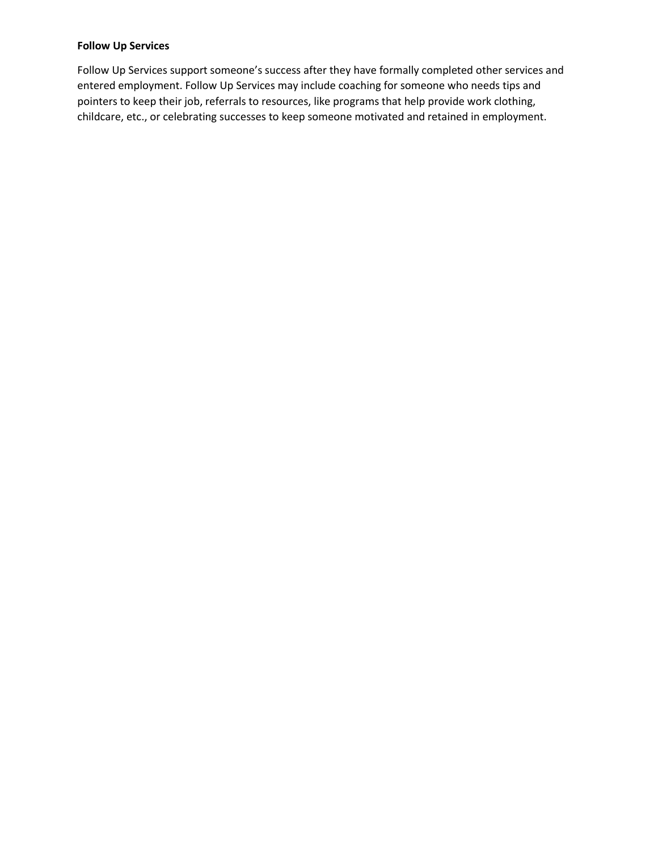#### **Follow Up Services**

Follow Up Services support someone's success after they have formally completed other services and entered employment. Follow Up Services may include coaching for someone who needs tips and pointers to keep their job, referrals to resources, like programs that help provide work clothing, childcare, etc., or celebrating successes to keep someone motivated and retained in employment.